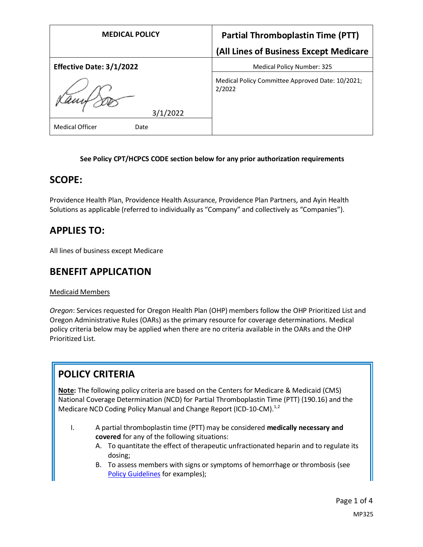| <b>MEDICAL POLICY</b>           | <b>Partial Thromboplastin Time (PTT)</b>                   |
|---------------------------------|------------------------------------------------------------|
|                                 | (All Lines of Business Except Medicare                     |
| <b>Effective Date: 3/1/2022</b> | <b>Medical Policy Number: 325</b>                          |
| 3/1/2022                        | Medical Policy Committee Approved Date: 10/2021;<br>2/2022 |
| <b>Medical Officer</b><br>Date  |                                                            |

#### **See Policy CPT/HCPCS CODE section below for any prior authorization requirements**

#### **SCOPE:**

Providence Health Plan, Providence Health Assurance, Providence Plan Partners, and Ayin Health Solutions as applicable (referred to individually as "Company" and collectively as "Companies").

# **APPLIES TO:**

All lines of business except Medicare

### **BENEFIT APPLICATION**

Medicaid Members

*Oregon*: Services requested for Oregon Health Plan (OHP) members follow the OHP Prioritized List and Oregon Administrative Rules (OARs) as the primary resource for coverage determinations. Medical policy criteria below may be applied when there are no criteria available in the OARs and the OHP Prioritized List.

# **POLICY CRITERIA**

**Note:** The following policy criteria are based on the Centers for Medicare & Medicaid (CMS) National Coverage Determination (NCD) for Partial Thromboplastin Time (PTT) (190.16) and the Medicare NCD Coding Policy Manual and Change Report (ICD-10-CM).<sup>1,2</sup>

- I. A partial thromboplastin time (PTT) may be considered **medically necessary and covered** for any of the following situations:
	- A. To quantitate the effect of therapeutic unfractionated heparin and to regulate its dosing;
	- B. To assess members with signs or symptoms of hemorrhage or thrombosis (see [Policy Guidelines](#page-1-0) for examples);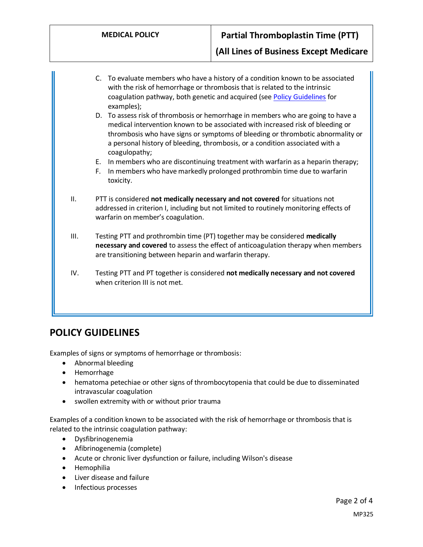**(All Lines of Business Except Medicare**

- C. To evaluate members who have a history of a condition known to be associated with the risk of hemorrhage or thrombosis that is related to the intrinsic coagulation pathway, both genetic and acquired (se[e Policy Guidelines](#page-1-1) for examples);
- D. To assess risk of thrombosis or hemorrhage in members who are going to have a medical intervention known to be associated with increased risk of bleeding or thrombosis who have signs or symptoms of bleeding or thrombotic abnormality or a personal history of bleeding, thrombosis, or a condition associated with a coagulopathy;
- E. In members who are discontinuing treatment with warfarin as a heparin therapy;
- F. In members who have markedly prolonged prothrombin time due to warfarin toxicity.
- II. PTT is considered **not medically necessary and not covered** for situations not addressed in criterion I, including but not limited to routinely monitoring effects of warfarin on member's coagulation.
- III. Testing PTT and prothrombin time (PT) together may be considered **medically necessary and covered** to assess the effect of anticoagulation therapy when members are transitioning between heparin and warfarin therapy.
- IV. Testing PTT and PT together is considered **not medically necessary and not covered** when criterion III is not met.

# **POLICY GUIDELINES**

<span id="page-1-0"></span>Examples of signs or symptoms of hemorrhage or thrombosis:

- Abnormal bleeding
- Hemorrhage
- hematoma petechiae or other signs of thrombocytopenia that could be due to disseminated intravascular coagulation
- swollen extremity with or without prior trauma

<span id="page-1-1"></span>Examples of a condition known to be associated with the risk of hemorrhage or thrombosis that is related to the intrinsic coagulation pathway:

- Dysfibrinogenemia
- Afibrinogenemia (complete)
- Acute or chronic liver dysfunction or failure, including Wilson's disease
- Hemophilia
- Liver disease and failure
- Infectious processes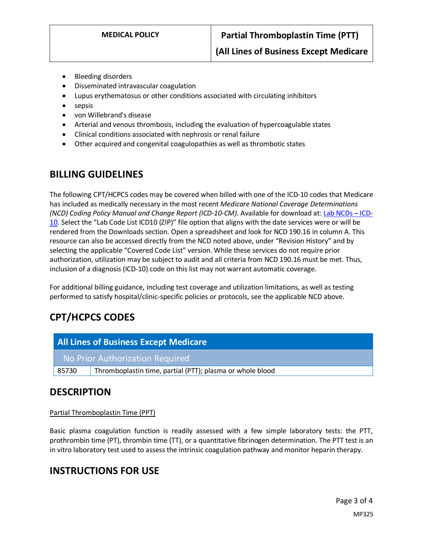**(All Lines of Business Except Medicare**

- Bleeding disorders
- Disseminated intravascular coagulation
- Lupus erythematosus or other conditions associated with circulating inhibitors
- sepsis
- von Willebrand's disease
- Arterial and venous thrombosis, including the evaluation of hypercoagulable states
- Clinical conditions associated with nephrosis or renal failure
- Other acquired and congenital coagulopathies as well as thrombotic states

## **BILLING GUIDELINES**

The following CPT/HCPCS codes may be covered when billed with one of the ICD-10 codes that Medicare has included as medically necessary in the most recent *Medicare National Coverage Determinations (NCD) Coding Policy Manual and Change Report (ICD-10-CM)*. Available for download at: [Lab NCDs](https://www.cms.gov/Medicare/Coverage/CoverageGenInfo/LabNCDsICD10) – ICD-[10.](https://www.cms.gov/Medicare/Coverage/CoverageGenInfo/LabNCDsICD10) Select the "Lab Code List ICD10 (ZIP)" file option that aligns with the date services were or will be rendered from the Downloads section. Open a spreadsheet and look for NCD 190.16 in column A. This resource can also be accessed directly from the NCD noted above, under "Revision History" and by selecting the applicable "Covered Code List" version. While these services do not require prior authorization, utilization may be subject to audit and all criteria from NCD 190.16 must be met. Thus, inclusion of a diagnosis (ICD-10) code on this list may not warrant automatic coverage.

For additional billing guidance, including test coverage and utilization limitations, as well as testing performed to satisfy hospital/clinic-specific policies or protocols, see the applicable NCD above.

# **CPT/HCPCS CODES**

| <b>All Lines of Business Except Medicare</b> |                                                           |
|----------------------------------------------|-----------------------------------------------------------|
| No Prior Authorization Required              |                                                           |
| 85730                                        | Thromboplastin time, partial (PTT); plasma or whole blood |

### **DESCRIPTION**

#### Partial Thromboplastin Time (PPT)

Basic plasma coagulation function is readily assessed with a few simple laboratory tests: the PTT, prothrombin time (PT), thrombin time (TT), or a quantitative fibrinogen determination. The PTT test is an in vitro laboratory test used to assess the intrinsic coagulation pathway and monitor heparin therapy.

### **INSTRUCTIONS FOR USE**